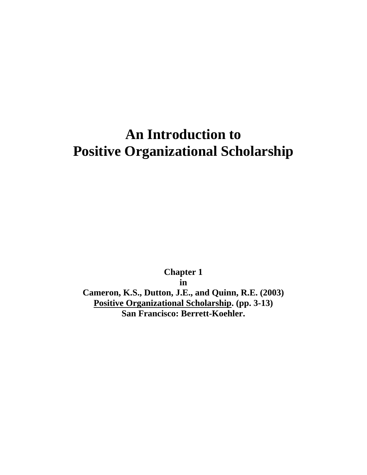# **An Introduction to Positive Organizational Scholarship**

**Chapter 1 in Cameron, K.S., Dutton, J.E., and Quinn, R.E. (2003) Positive Organizational Scholarship. (pp. 3-13) San Francisco: Berrett-Koehler.**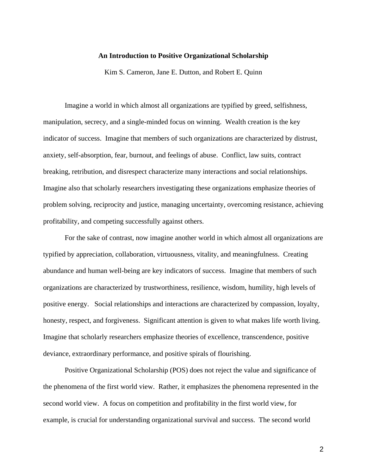#### **An Introduction to Positive Organizational Scholarship**

Kim S. Cameron, Jane E. Dutton, and Robert E. Quinn

Imagine a world in which almost all organizations are typified by greed, selfishness, manipulation, secrecy, and a single-minded focus on winning. Wealth creation is the key indicator of success. Imagine that members of such organizations are characterized by distrust, anxiety, self-absorption, fear, burnout, and feelings of abuse. Conflict, law suits, contract breaking, retribution, and disrespect characterize many interactions and social relationships. Imagine also that scholarly researchers investigating these organizations emphasize theories of problem solving, reciprocity and justice, managing uncertainty, overcoming resistance, achieving profitability, and competing successfully against others.

For the sake of contrast, now imagine another world in which almost all organizations are typified by appreciation, collaboration, virtuousness, vitality, and meaningfulness. Creating abundance and human well-being are key indicators of success. Imagine that members of such organizations are characterized by trustworthiness, resilience, wisdom, humility, high levels of positive energy. Social relationships and interactions are characterized by compassion, loyalty, honesty, respect, and forgiveness. Significant attention is given to what makes life worth living. Imagine that scholarly researchers emphasize theories of excellence, transcendence, positive deviance, extraordinary performance, and positive spirals of flourishing.

Positive Organizational Scholarship (POS) does not reject the value and significance of the phenomena of the first world view. Rather, it emphasizes the phenomena represented in the second world view. A focus on competition and profitability in the first world view, for example, is crucial for understanding organizational survival and success. The second world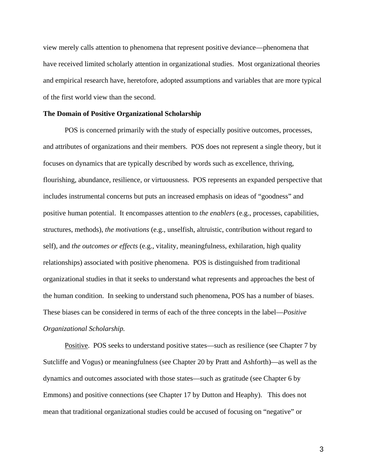view merely calls attention to phenomena that represent positive deviance—phenomena that have received limited scholarly attention in organizational studies. Most organizational theories and empirical research have, heretofore, adopted assumptions and variables that are more typical of the first world view than the second.

#### **The Domain of Positive Organizational Scholarship**

POS is concerned primarily with the study of especially positive outcomes, processes, and attributes of organizations and their members. POS does not represent a single theory, but it focuses on dynamics that are typically described by words such as excellence, thriving, flourishing, abundance, resilience, or virtuousness. POS represents an expanded perspective that includes instrumental concerns but puts an increased emphasis on ideas of "goodness" and positive human potential. It encompasses attention to *the enablers* (e.g., processes, capabilities, structures, methods), *the motivations* (e.g., unselfish, altruistic, contribution without regard to self), and *the outcomes or effects* (e.g., vitality, meaningfulness, exhilaration, high quality relationships) associated with positive phenomena. POS is distinguished from traditional organizational studies in that it seeks to understand what represents and approaches the best of the human condition. In seeking to understand such phenomena, POS has a number of biases. These biases can be considered in terms of each of the three concepts in the label—*Positive Organizational Scholarship.* 

Positive. POS seeks to understand positive states—such as resilience (see Chapter 7 by Sutcliffe and Vogus) or meaningfulness (see Chapter 20 by Pratt and Ashforth)—as well as the dynamics and outcomes associated with those states—such as gratitude (see Chapter 6 by Emmons) and positive connections (see Chapter 17 by Dutton and Heaphy). This does not mean that traditional organizational studies could be accused of focusing on "negative" or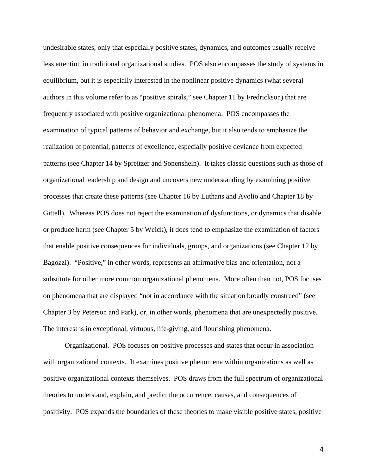undesirable states, only that especially positive states, dynamics, and outcomes usually receive less attention in traditional organizational studies. POS also encompasses the study of systems in equilibrium, but it is especially interested in the nonlinear positive dynamics (what several authors in this volume refer to as "positive spirals," see Chapter 11 by Fredrickson) that are frequently associated with positive organizational phenomena. POS encompasses the examination of typical patterns of behavior and exchange, but it also tends to emphasize the realization of potential, patterns of excellence, especially positive deviance from expected patterns (see Chapter 14 by Spreitzer and Sonenshein). It takes classic questions such as those of organizational leadership and design and uncovers new understanding by examining positive processes that create these patterns (see Chapter 16 by Luthans and Avolio and Chapter 18 by Gittell). Whereas POS does not reject the examination of dysfunctions, or dynamics that disable or produce harm (see Chapter 5 by Weick), it does tend to emphasize the examination of factors that enable positive consequences for individuals, groups, and organizations (see Chapter 12 by Bagozzi). "Positive," in other words, represents an affirmative bias and orientation, not a substitute for other more common organizational phenomena. More often than not, POS focuses on phenomena that are displayed "not in accordance with the situation broadly construed" (see Chapter 3 by Peterson and Park), or, in other words, phenomena that are unexpectedly positive. The interest is in exceptional, virtuous, life-giving, and flourishing phenomena.

Organizational. POS focuses on positive processes and states that occur in association with organizational contexts. It examines positive phenomena within organizations as well as positive organizational contexts themselves. POS draws from the full spectrum of organizational theories to understand, explain, and predict the occurrence, causes, and consequences of positivity. POS expands the boundaries of these theories to make visible positive states, positive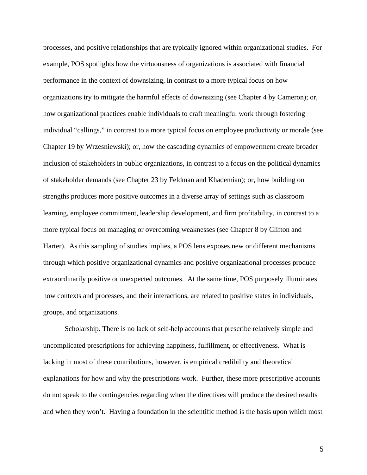processes, and positive relationships that are typically ignored within organizational studies. For example, POS spotlights how the virtuousness of organizations is associated with financial performance in the context of downsizing, in contrast to a more typical focus on how organizations try to mitigate the harmful effects of downsizing (see Chapter 4 by Cameron); or, how organizational practices enable individuals to craft meaningful work through fostering individual "callings," in contrast to a more typical focus on employee productivity or morale (see Chapter 19 by Wrzesniewski); or, how the cascading dynamics of empowerment create broader inclusion of stakeholders in public organizations, in contrast to a focus on the political dynamics of stakeholder demands (see Chapter 23 by Feldman and Khademian); or, how building on strengths produces more positive outcomes in a diverse array of settings such as classroom learning, employee commitment, leadership development, and firm profitability, in contrast to a more typical focus on managing or overcoming weaknesses (see Chapter 8 by Clifton and Harter). As this sampling of studies implies, a POS lens exposes new or different mechanisms through which positive organizational dynamics and positive organizational processes produce extraordinarily positive or unexpected outcomes. At the same time, POS purposely illuminates how contexts and processes, and their interactions, are related to positive states in individuals, groups, and organizations.

Scholarship. There is no lack of self-help accounts that prescribe relatively simple and uncomplicated prescriptions for achieving happiness, fulfillment, or effectiveness. What is lacking in most of these contributions, however, is empirical credibility and theoretical explanations for how and why the prescriptions work. Further, these more prescriptive accounts do not speak to the contingencies regarding when the directives will produce the desired results and when they won't. Having a foundation in the scientific method is the basis upon which most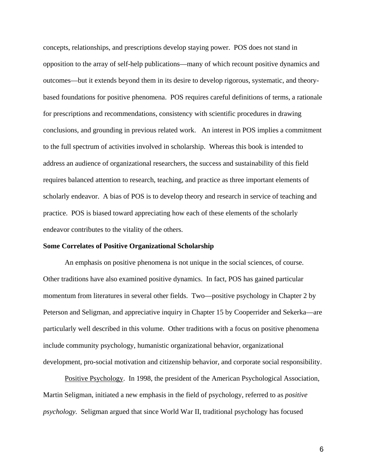concepts, relationships, and prescriptions develop staying power. POS does not stand in opposition to the array of self-help publications—many of which recount positive dynamics and outcomes—but it extends beyond them in its desire to develop rigorous, systematic, and theorybased foundations for positive phenomena. POS requires careful definitions of terms, a rationale for prescriptions and recommendations, consistency with scientific procedures in drawing conclusions, and grounding in previous related work. An interest in POS implies a commitment to the full spectrum of activities involved in scholarship. Whereas this book is intended to address an audience of organizational researchers, the success and sustainability of this field requires balanced attention to research, teaching, and practice as three important elements of scholarly endeavor. A bias of POS is to develop theory and research in service of teaching and practice. POS is biased toward appreciating how each of these elements of the scholarly endeavor contributes to the vitality of the others.

#### **Some Correlates of Positive Organizational Scholarship**

An emphasis on positive phenomena is not unique in the social sciences, of course. Other traditions have also examined positive dynamics. In fact, POS has gained particular momentum from literatures in several other fields. Two—positive psychology in Chapter 2 by Peterson and Seligman, and appreciative inquiry in Chapter 15 by Cooperrider and Sekerka—are particularly well described in this volume. Other traditions with a focus on positive phenomena include community psychology, humanistic organizational behavior, organizational development, pro-social motivation and citizenship behavior, and corporate social responsibility.

Positive Psychology. In 1998, the president of the American Psychological Association, Martin Seligman, initiated a new emphasis in the field of psychology, referred to as *positive psychology.* Seligman argued that since World War II, traditional psychology has focused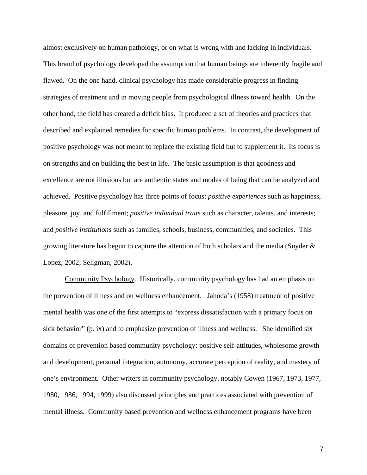almost exclusively on human pathology, or on what is wrong with and lacking in individuals. This brand of psychology developed the assumption that human beings are inherently fragile and flawed. On the one hand, clinical psychology has made considerable progress in finding strategies of treatment and in moving people from psychological illness toward health. On the other hand, the field has created a deficit bias. It produced a set of theories and practices that described and explained remedies for specific human problems. In contrast, the development of positive psychology was not meant to replace the existing field but to supplement it. Its focus is on strengths and on building the best in life. The basic assumption is that goodness and excellence are not illusions but are authentic states and modes of being that can be analyzed and achieved. Positive psychology has three points of focus: *positive experiences* such as happiness, pleasure, joy, and fulfillment; *positive individual traits* such as character, talents, and interests; and *positive institutions* such as families, schools, business, communities, and societies. This growing literature has begun to capture the attention of both scholars and the media (Snyder & Lopez, 2002; Seligman, 2002).

Community Psychology. Historically, community psychology has had an emphasis on the prevention of illness and on wellness enhancement. Jahoda's (1958) treatment of positive mental health was one of the first attempts to "express dissatisfaction with a primary focus on sick behavior" (p. ix) and to emphasize prevention of illness and wellness. She identified six domains of prevention based community psychology: positive self-attitudes, wholesome growth and development, personal integration, autonomy, accurate perception of reality, and mastery of one's environment. Other writers in community psychology, notably Cowen (1967, 1973, 1977, 1980, 1986, 1994, 1999) also discussed principles and practices associated with prevention of mental illness. Community based prevention and wellness enhancement programs have been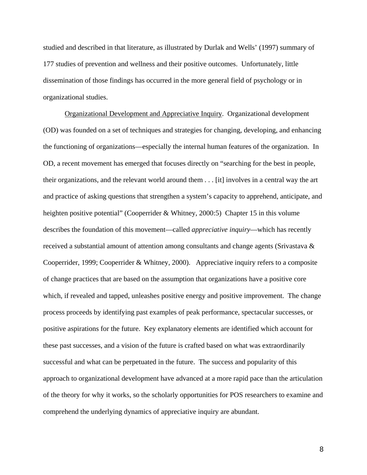studied and described in that literature, as illustrated by Durlak and Wells' (1997) summary of 177 studies of prevention and wellness and their positive outcomes. Unfortunately, little dissemination of those findings has occurred in the more general field of psychology or in organizational studies.

Organizational Development and Appreciative Inquiry. Organizational development (OD) was founded on a set of techniques and strategies for changing, developing, and enhancing the functioning of organizations—especially the internal human features of the organization. In OD, a recent movement has emerged that focuses directly on "searching for the best in people, their organizations, and the relevant world around them . . . [it] involves in a central way the art and practice of asking questions that strengthen a system's capacity to apprehend, anticipate, and heighten positive potential" (Cooperrider & Whitney, 2000:5) Chapter 15 in this volume describes the foundation of this movement—called *appreciative inquiry*—which has recently received a substantial amount of attention among consultants and change agents (Srivastava & Cooperrider, 1999; Cooperrider & Whitney, 2000). Appreciative inquiry refers to a composite of change practices that are based on the assumption that organizations have a positive core which, if revealed and tapped, unleashes positive energy and positive improvement. The change process proceeds by identifying past examples of peak performance, spectacular successes, or positive aspirations for the future. Key explanatory elements are identified which account for these past successes, and a vision of the future is crafted based on what was extraordinarily successful and what can be perpetuated in the future. The success and popularity of this approach to organizational development have advanced at a more rapid pace than the articulation of the theory for why it works, so the scholarly opportunities for POS researchers to examine and comprehend the underlying dynamics of appreciative inquiry are abundant.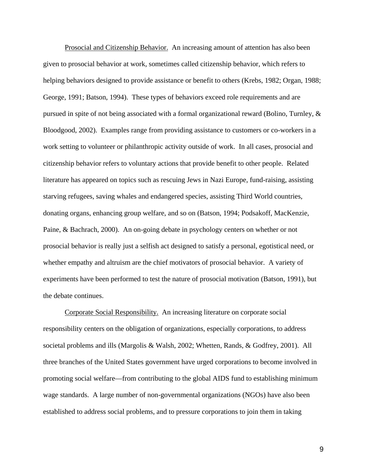Prosocial and Citizenship Behavior. An increasing amount of attention has also been given to prosocial behavior at work, sometimes called citizenship behavior, which refers to helping behaviors designed to provide assistance or benefit to others (Krebs, 1982; Organ, 1988; George, 1991; Batson, 1994). These types of behaviors exceed role requirements and are pursued in spite of not being associated with a formal organizational reward (Bolino, Turnley, & Bloodgood, 2002). Examples range from providing assistance to customers or co-workers in a work setting to volunteer or philanthropic activity outside of work. In all cases, prosocial and citizenship behavior refers to voluntary actions that provide benefit to other people. Related literature has appeared on topics such as rescuing Jews in Nazi Europe, fund-raising, assisting starving refugees, saving whales and endangered species, assisting Third World countries, donating organs, enhancing group welfare, and so on (Batson, 1994; Podsakoff, MacKenzie, Paine, & Bachrach, 2000). An on-going debate in psychology centers on whether or not prosocial behavior is really just a selfish act designed to satisfy a personal, egotistical need, or whether empathy and altruism are the chief motivators of prosocial behavior. A variety of experiments have been performed to test the nature of prosocial motivation (Batson, 1991), but the debate continues.

Corporate Social Responsibility. An increasing literature on corporate social responsibility centers on the obligation of organizations, especially corporations, to address societal problems and ills (Margolis & Walsh, 2002; Whetten, Rands, & Godfrey, 2001). All three branches of the United States government have urged corporations to become involved in promoting social welfare—from contributing to the global AIDS fund to establishing minimum wage standards. A large number of non-governmental organizations (NGOs) have also been established to address social problems, and to pressure corporations to join them in taking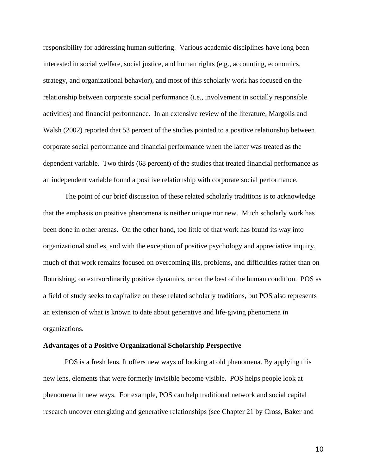responsibility for addressing human suffering. Various academic disciplines have long been interested in social welfare, social justice, and human rights (e.g., accounting, economics, strategy, and organizational behavior), and most of this scholarly work has focused on the relationship between corporate social performance (i.e., involvement in socially responsible activities) and financial performance. In an extensive review of the literature, Margolis and Walsh (2002) reported that 53 percent of the studies pointed to a positive relationship between corporate social performance and financial performance when the latter was treated as the dependent variable. Two thirds (68 percent) of the studies that treated financial performance as an independent variable found a positive relationship with corporate social performance.

The point of our brief discussion of these related scholarly traditions is to acknowledge that the emphasis on positive phenomena is neither unique nor new. Much scholarly work has been done in other arenas. On the other hand, too little of that work has found its way into organizational studies, and with the exception of positive psychology and appreciative inquiry, much of that work remains focused on overcoming ills, problems, and difficulties rather than on flourishing, on extraordinarily positive dynamics, or on the best of the human condition. POS as a field of study seeks to capitalize on these related scholarly traditions, but POS also represents an extension of what is known to date about generative and life-giving phenomena in organizations.

#### **Advantages of a Positive Organizational Scholarship Perspective**

POS is a fresh lens. It offers new ways of looking at old phenomena. By applying this new lens, elements that were formerly invisible become visible. POS helps people look at phenomena in new ways. For example, POS can help traditional network and social capital research uncover energizing and generative relationships (see Chapter 21 by Cross, Baker and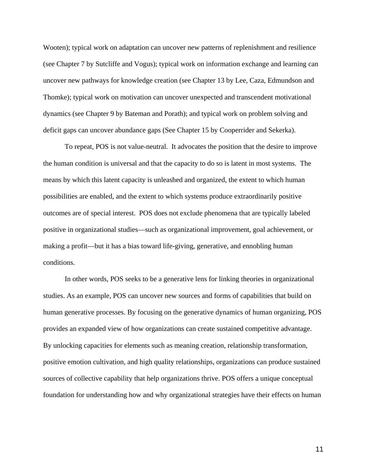Wooten); typical work on adaptation can uncover new patterns of replenishment and resilience (see Chapter 7 by Sutcliffe and Vogus); typical work on information exchange and learning can uncover new pathways for knowledge creation (see Chapter 13 by Lee, Caza, Edmundson and Thomke); typical work on motivation can uncover unexpected and transcendent motivational dynamics (see Chapter 9 by Bateman and Porath); and typical work on problem solving and deficit gaps can uncover abundance gaps (See Chapter 15 by Cooperrider and Sekerka).

To repeat, POS is not value-neutral. It advocates the position that the desire to improve the human condition is universal and that the capacity to do so is latent in most systems. The means by which this latent capacity is unleashed and organized, the extent to which human possibilities are enabled, and the extent to which systems produce extraordinarily positive outcomes are of special interest. POS does not exclude phenomena that are typically labeled positive in organizational studies—such as organizational improvement, goal achievement, or making a profit—but it has a bias toward life-giving, generative, and ennobling human conditions.

In other words, POS seeks to be a generative lens for linking theories in organizational studies. As an example, POS can uncover new sources and forms of capabilities that build on human generative processes. By focusing on the generative dynamics of human organizing, POS provides an expanded view of how organizations can create sustained competitive advantage. By unlocking capacities for elements such as meaning creation, relationship transformation, positive emotion cultivation, and high quality relationships, organizations can produce sustained sources of collective capability that help organizations thrive. POS offers a unique conceptual foundation for understanding how and why organizational strategies have their effects on human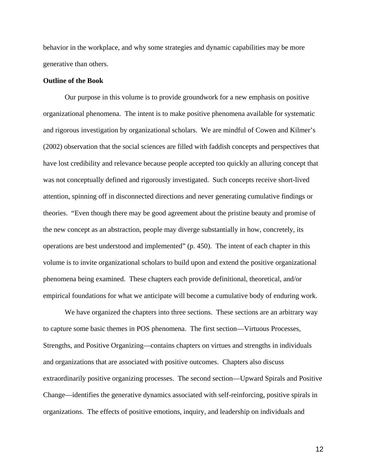behavior in the workplace, and why some strategies and dynamic capabilities may be more generative than others.

### **Outline of the Book**

Our purpose in this volume is to provide groundwork for a new emphasis on positive organizational phenomena. The intent is to make positive phenomena available for systematic and rigorous investigation by organizational scholars. We are mindful of Cowen and Kilmer's (2002) observation that the social sciences are filled with faddish concepts and perspectives that have lost credibility and relevance because people accepted too quickly an alluring concept that was not conceptually defined and rigorously investigated. Such concepts receive short-lived attention, spinning off in disconnected directions and never generating cumulative findings or theories. "Even though there may be good agreement about the pristine beauty and promise of the new concept as an abstraction, people may diverge substantially in how, concretely, its operations are best understood and implemented" (p. 450). The intent of each chapter in this volume is to invite organizational scholars to build upon and extend the positive organizational phenomena being examined. These chapters each provide definitional, theoretical, and/or empirical foundations for what we anticipate will become a cumulative body of enduring work.

We have organized the chapters into three sections. These sections are an arbitrary way to capture some basic themes in POS phenomena. The first section—Virtuous Processes, Strengths, and Positive Organizing—contains chapters on virtues and strengths in individuals and organizations that are associated with positive outcomes. Chapters also discuss extraordinarily positive organizing processes. The second section—Upward Spirals and Positive Change—identifies the generative dynamics associated with self-reinforcing, positive spirals in organizations. The effects of positive emotions, inquiry, and leadership on individuals and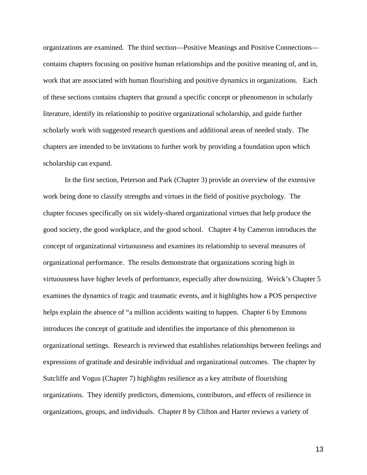organizations are examined. The third section—Positive Meanings and Positive Connections contains chapters focusing on positive human relationships and the positive meaning of, and in, work that are associated with human flourishing and positive dynamics in organizations. Each of these sections contains chapters that ground a specific concept or phenomenon in scholarly literature, identify its relationship to positive organizational scholarship, and guide further scholarly work with suggested research questions and additional areas of needed study. The chapters are intended to be invitations to further work by providing a foundation upon which scholarship can expand.

In the first section, Peterson and Park (Chapter 3) provide an overview of the extensive work being done to classify strengths and virtues in the field of positive psychology. The chapter focuses specifically on six widely-shared organizational virtues that help produce the good society, the good workplace, and the good school. Chapter 4 by Cameron introduces the concept of organizational virtuousness and examines its relationship to several measures of organizational performance. The results demonstrate that organizations scoring high in virtuousness have higher levels of performance, especially after downsizing. Weick's Chapter 5 examines the dynamics of tragic and traumatic events, and it highlights how a POS perspective helps explain the absence of "a million accidents waiting to happen. Chapter 6 by Emmons introduces the concept of gratitude and identifies the importance of this phenomenon in organizational settings. Research is reviewed that establishes relationships between feelings and expressions of gratitude and desirable individual and organizational outcomes. The chapter by Sutcliffe and Vogus (Chapter 7) highlights resilience as a key attribute of flourishing organizations. They identify predictors, dimensions, contributors, and effects of resilience in organizations, groups, and individuals. Chapter 8 by Clifton and Harter reviews a variety of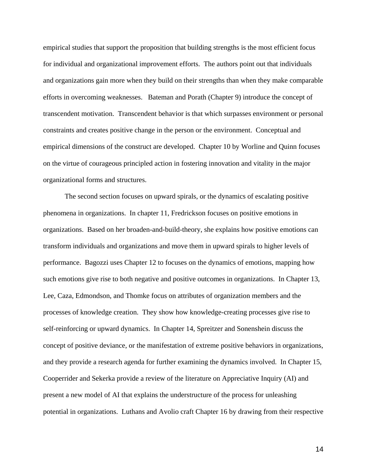empirical studies that support the proposition that building strengths is the most efficient focus for individual and organizational improvement efforts. The authors point out that individuals and organizations gain more when they build on their strengths than when they make comparable efforts in overcoming weaknesses. Bateman and Porath (Chapter 9) introduce the concept of transcendent motivation. Transcendent behavior is that which surpasses environment or personal constraints and creates positive change in the person or the environment. Conceptual and empirical dimensions of the construct are developed. Chapter 10 by Worline and Quinn focuses on the virtue of courageous principled action in fostering innovation and vitality in the major organizational forms and structures.

The second section focuses on upward spirals, or the dynamics of escalating positive phenomena in organizations. In chapter 11, Fredrickson focuses on positive emotions in organizations. Based on her broaden-and-build-theory, she explains how positive emotions can transform individuals and organizations and move them in upward spirals to higher levels of performance. Bagozzi uses Chapter 12 to focuses on the dynamics of emotions, mapping how such emotions give rise to both negative and positive outcomes in organizations. In Chapter 13, Lee, Caza, Edmondson, and Thomke focus on attributes of organization members and the processes of knowledge creation. They show how knowledge-creating processes give rise to self-reinforcing or upward dynamics. In Chapter 14, Spreitzer and Sonenshein discuss the concept of positive deviance, or the manifestation of extreme positive behaviors in organizations, and they provide a research agenda for further examining the dynamics involved. In Chapter 15, Cooperrider and Sekerka provide a review of the literature on Appreciative Inquiry (AI) and present a new model of AI that explains the understructure of the process for unleashing potential in organizations. Luthans and Avolio craft Chapter 16 by drawing from their respective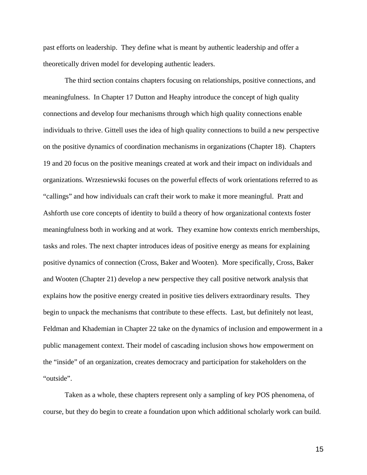past efforts on leadership. They define what is meant by authentic leadership and offer a theoretically driven model for developing authentic leaders.

The third section contains chapters focusing on relationships, positive connections, and meaningfulness. In Chapter 17 Dutton and Heaphy introduce the concept of high quality connections and develop four mechanisms through which high quality connections enable individuals to thrive. Gittell uses the idea of high quality connections to build a new perspective on the positive dynamics of coordination mechanisms in organizations (Chapter 18). Chapters 19 and 20 focus on the positive meanings created at work and their impact on individuals and organizations. Wrzesniewski focuses on the powerful effects of work orientations referred to as "callings" and how individuals can craft their work to make it more meaningful. Pratt and Ashforth use core concepts of identity to build a theory of how organizational contexts foster meaningfulness both in working and at work. They examine how contexts enrich memberships, tasks and roles. The next chapter introduces ideas of positive energy as means for explaining positive dynamics of connection (Cross, Baker and Wooten). More specifically, Cross, Baker and Wooten (Chapter 21) develop a new perspective they call positive network analysis that explains how the positive energy created in positive ties delivers extraordinary results. They begin to unpack the mechanisms that contribute to these effects. Last, but definitely not least, Feldman and Khademian in Chapter 22 take on the dynamics of inclusion and empowerment in a public management context. Their model of cascading inclusion shows how empowerment on the "inside" of an organization, creates democracy and participation for stakeholders on the "outside".

Taken as a whole, these chapters represent only a sampling of key POS phenomena, of course, but they do begin to create a foundation upon which additional scholarly work can build.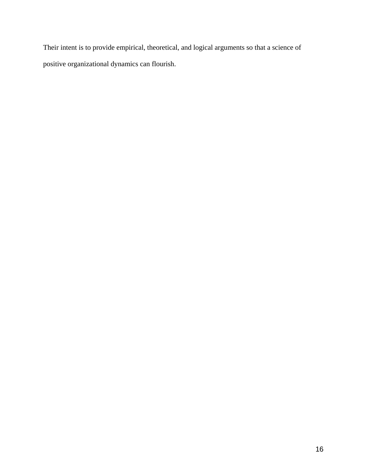Their intent is to provide empirical, theoretical, and logical arguments so that a science of positive organizational dynamics can flourish.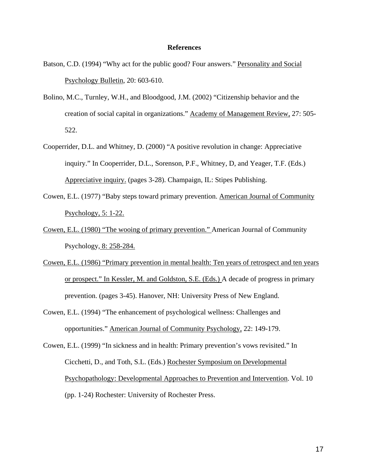#### **References**

- Batson, C.D. (1994) "Why act for the public good? Four answers." Personality and Social Psychology Bulletin, 20: 603-610.
- Bolino, M.C., Turnley, W.H., and Bloodgood, J.M. (2002) "Citizenship behavior and the creation of social capital in organizations." Academy of Management Review, 27: 505- 522.
- Cooperrider, D.L. and Whitney, D. (2000) "A positive revolution in change: Appreciative inquiry." In Cooperrider, D.L., Sorenson, P.F., Whitney, D, and Yeager, T.F. (Eds.) Appreciative inquiry. (pages 3-28). Champaign, IL: Stipes Publishing.
- Cowen, E.L. (1977) "Baby steps toward primary prevention. American Journal of Community Psychology, 5: 1-22.
- Cowen, E.L. (1980) "The wooing of primary prevention." American Journal of Community Psychology, 8: 258-284.
- Cowen, E.L. (1986) "Primary prevention in mental health: Ten years of retrospect and ten years or prospect." In Kessler, M. and Goldston, S.E. (Eds.) A decade of progress in primary prevention. (pages 3-45). Hanover, NH: University Press of New England.
- Cowen, E.L. (1994) "The enhancement of psychological wellness: Challenges and opportunities." American Journal of Community Psychology, 22: 149-179.

Cowen, E.L. (1999) "In sickness and in health: Primary prevention's vows revisited." In Cicchetti, D., and Toth, S.L. (Eds.) Rochester Symposium on Developmental Psychopathology: Developmental Approaches to Prevention and Intervention. Vol. 10 (pp. 1-24) Rochester: University of Rochester Press.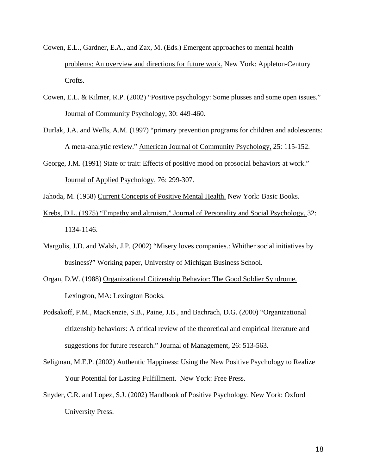- Cowen, E.L., Gardner, E.A., and Zax, M. (Eds.) Emergent approaches to mental health problems: An overview and directions for future work. New York: Appleton-Century Crofts.
- Cowen, E.L. & Kilmer, R.P. (2002) "Positive psychology: Some plusses and some open issues." Journal of Community Psychology, 30: 449-460.
- Durlak, J.A. and Wells, A.M. (1997) "primary prevention programs for children and adolescents: A meta-analytic review." American Journal of Community Psychology, 25: 115-152.
- George, J.M. (1991) State or trait: Effects of positive mood on prosocial behaviors at work." Journal of Applied Psychology, 76: 299-307.
- Jahoda, M. (1958) Current Concepts of Positive Mental Health. New York: Basic Books.
- Krebs, D.L. (1975) "Empathy and altruism." Journal of Personality and Social Psychology, 32: 1134-1146.
- Margolis, J.D. and Walsh, J.P. (2002) "Misery loves companies.: Whither social initiatives by business?" Working paper, University of Michigan Business School.
- Organ, D.W. (1988) Organizational Citizenship Behavior: The Good Soldier Syndrome. Lexington, MA: Lexington Books.
- Podsakoff, P.M., MacKenzie, S.B., Paine, J.B., and Bachrach, D.G. (2000) "Organizational citizenship behaviors: A critical review of the theoretical and empirical literature and suggestions for future research." Journal of Management, 26: 513-563.
- Seligman, M.E.P. (2002) Authentic Happiness: Using the New Positive Psychology to Realize Your Potential for Lasting Fulfillment. New York: Free Press.
- Snyder, C.R. and Lopez, S.J. (2002) Handbook of Positive Psychology. New York: Oxford University Press.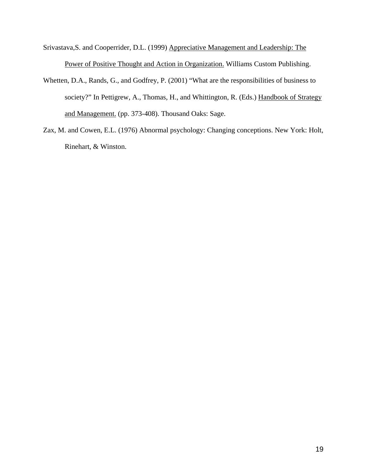- Srivastava,S. and Cooperrider, D.L. (1999) Appreciative Management and Leadership: The Power of Positive Thought and Action in Organization. Williams Custom Publishing.
- Whetten, D.A., Rands, G., and Godfrey, P. (2001) "What are the responsibilities of business to society?" In Pettigrew, A., Thomas, H., and Whittington, R. (Eds.) Handbook of Strategy and Management. (pp. 373-408). Thousand Oaks: Sage.
- Zax, M. and Cowen, E.L. (1976) Abnormal psychology: Changing conceptions. New York: Holt, Rinehart, & Winston.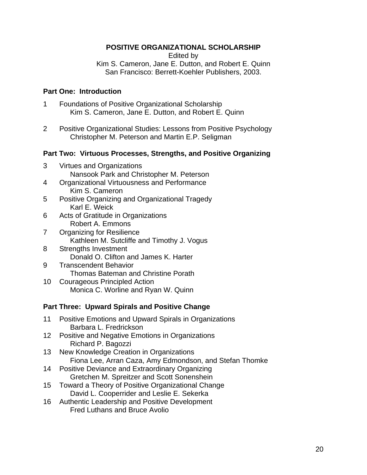## **POSITIVE ORGANIZATIONAL SCHOLARSHIP**

Edited by

Kim S. Cameron, Jane E. Dutton, and Robert E. Quinn San Francisco: Berrett-Koehler Publishers, 2003.

## **Part One: Introduction**

- 1 Foundations of Positive Organizational Scholarship Kim S. Cameron, Jane E. Dutton, and Robert E. Quinn
- 2 Positive Organizational Studies: Lessons from Positive Psychology Christopher M. Peterson and Martin E.P. Seligman

## **Part Two: Virtuous Processes, Strengths, and Positive Organizing**

- 3 Virtues and Organizations Nansook Park and Christopher M. Peterson
- 4 Organizational Virtuousness and Performance Kim S. Cameron
- 5 Positive Organizing and Organizational Tragedy Karl E. Weick
- 6 Acts of Gratitude in Organizations Robert A. Emmons
- 7 Organizing for Resilience Kathleen M. Sutcliffe and Timothy J. Vogus
- 8 Strengths Investment Donald O. Clifton and James K. Harter
- 9 Transcendent Behavior Thomas Bateman and Christine Porath
- 10 Courageous Principled Action Monica C. Worline and Ryan W. Quinn

## **Part Three: Upward Spirals and Positive Change**

- 11 Positive Emotions and Upward Spirals in Organizations Barbara L. Fredrickson
- 12 Positive and Negative Emotions in Organizations Richard P. Bagozzi
- 13 New Knowledge Creation in Organizations Fiona Lee, Arran Caza, Amy Edmondson, and Stefan Thomke
- 14 Positive Deviance and Extraordinary Organizing Gretchen M. Spreitzer and Scott Sonenshein
- 15 Toward a Theory of Positive Organizational Change David L. Cooperrider and Leslie E. Sekerka
- 16 Authentic Leadership and Positive Development Fred Luthans and Bruce Avolio